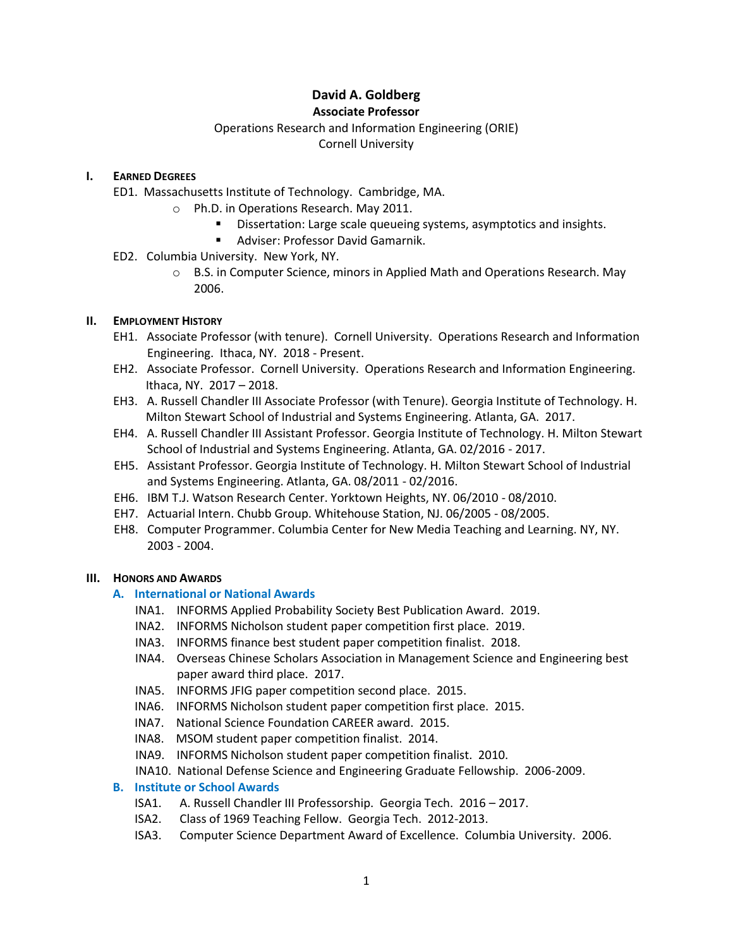# **David A. Goldberg Associate Professor**

# Operations Research and Information Engineering (ORIE) Cornell University

# **I. EARNED DEGREES**

- ED1. Massachusetts Institute of Technology. Cambridge, MA.
	- o Ph.D. in Operations Research. May 2011.
		- **Dissertation: Large scale queueing systems, asymptotics and insights.** 
			- Adviser: Professor David Gamarnik.
- ED2. Columbia University. New York, NY.
	- $\circ$  B.S. in Computer Science, minors in Applied Math and Operations Research. May 2006.

# **II. EMPLOYMENT HISTORY**

- EH1. Associate Professor (with tenure). Cornell University. Operations Research and Information Engineering. Ithaca, NY. 2018 - Present.
- EH2. Associate Professor. Cornell University. Operations Research and Information Engineering. Ithaca, NY. 2017 – 2018.
- EH3. A. Russell Chandler III Associate Professor (with Tenure). Georgia Institute of Technology. H. Milton Stewart School of Industrial and Systems Engineering. Atlanta, GA. 2017.
- EH4. A. Russell Chandler III Assistant Professor. Georgia Institute of Technology. H. Milton Stewart School of Industrial and Systems Engineering. Atlanta, GA. 02/2016 - 2017.
- EH5. Assistant Professor. Georgia Institute of Technology. H. Milton Stewart School of Industrial and Systems Engineering. Atlanta, GA. 08/2011 - 02/2016.
- EH6. IBM T.J. Watson Research Center. Yorktown Heights, NY. 06/2010 08/2010.
- EH7. Actuarial Intern. Chubb Group. Whitehouse Station, NJ. 06/2005 08/2005.
- EH8. Computer Programmer. Columbia Center for New Media Teaching and Learning. NY, NY. 2003 - 2004.

# **III. HONORS AND AWARDS**

# **A. International or National Awards**

- INA1. INFORMS Applied Probability Society Best Publication Award. 2019.
- INA2. INFORMS Nicholson student paper competition first place. 2019.
- INA3. INFORMS finance best student paper competition finalist. 2018.
- INA4. Overseas Chinese Scholars Association in Management Science and Engineering best paper award third place. 2017.
- INA5. INFORMS JFIG paper competition second place. 2015.
- INA6. INFORMS Nicholson student paper competition first place. 2015.
- INA7. National Science Foundation CAREER award. 2015.
- INA8. MSOM student paper competition finalist. 2014.
- INA9. INFORMS Nicholson student paper competition finalist. 2010.
- INA10. National Defense Science and Engineering Graduate Fellowship. 2006-2009.

# **B. Institute or School Awards**

- ISA1. A. Russell Chandler III Professorship. Georgia Tech. 2016 2017.
- ISA2. Class of 1969 Teaching Fellow. Georgia Tech. 2012-2013.
- ISA3. Computer Science Department Award of Excellence. Columbia University. 2006.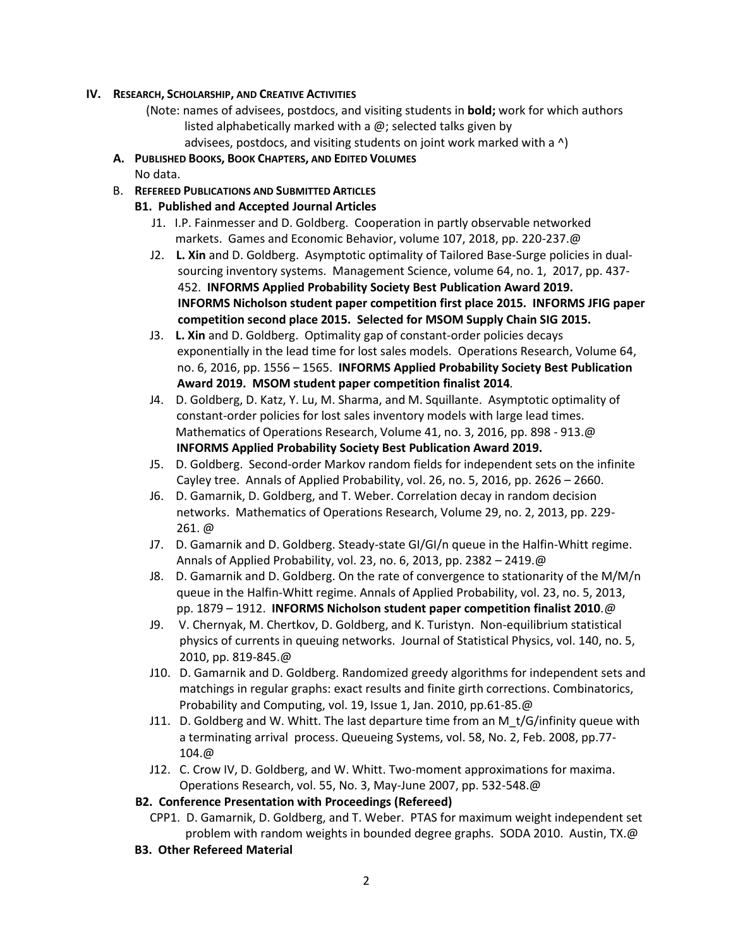## **IV. RESEARCH, SCHOLARSHIP, AND CREATIVE ACTIVITIES**

- (Note: names of advisees, postdocs, and visiting students in **bold;** work for which authors listed alphabetically marked with a  $\omega$ ; selected talks given by
	- advisees, postdocs, and visiting students on joint work marked with a ^)
- **A. PUBLISHED BOOKS, BOOK CHAPTERS, AND EDITED VOLUMES**
	- No data.
- B. **REFEREED PUBLICATIONS AND SUBMITTED ARTICLES**
	- **B1. Published and Accepted Journal Articles**
		- J1. I.P. Fainmesser and D. Goldberg. Cooperation in partly observable networked markets. Games and Economic Behavior, volume 107, 2018, pp. 220-237.@
		- J2. **L. Xin** and D. Goldberg. Asymptotic optimality of Tailored Base-Surge policies in dualsourcing inventory systems. Management Science, volume 64, no. 1, 2017, pp. 437- 452. **INFORMS Applied Probability Society Best Publication Award 2019. INFORMS Nicholson student paper competition first place 2015. INFORMS JFIG paper competition second place 2015. Selected for MSOM Supply Chain SIG 2015.**
		- J3. **L. Xin** and D. Goldberg. Optimality gap of constant-order policies decays exponentially in the lead time for lost sales models. Operations Research, Volume 64, no. 6, 2016, pp. 1556 – 1565. **INFORMS Applied Probability Society Best Publication Award 2019. MSOM student paper competition finalist 2014***.*
		- J4. D. Goldberg, D. Katz, Y. Lu, M. Sharma, and M. Squillante. Asymptotic optimality of constant-order policies for lost sales inventory models with large lead times. Mathematics of Operations Research, Volume 41, no. 3, 2016, pp. 898 - 913.@ **INFORMS Applied Probability Society Best Publication Award 2019.**
		- J5. D. Goldberg. Second-order Markov random fields for independent sets on the infinite Cayley tree. Annals of Applied Probability, vol. 26, no. 5, 2016, pp. 2626 – 2660.
		- J6. D. Gamarnik, D. Goldberg, and T. Weber. Correlation decay in random decision networks. Mathematics of Operations Research, Volume 29, no. 2, 2013, pp. 229- 261. @
		- J7. D. Gamarnik and D. Goldberg. Steady-state GI/GI/n queue in the Halfin-Whitt regime. Annals of Applied Probability, vol. 23, no. 6, 2013, pp. 2382 – 2419.@
		- J8. D. Gamarnik and D. Goldberg. On the rate of convergence to stationarity of the M/M/n queue in the Halfin-Whitt regime. Annals of Applied Probability, vol. 23, no. 5, 2013, pp. 1879 – 1912. **INFORMS Nicholson student paper competition finalist 2010***.@*
		- J9. V. Chernyak, M. Chertkov, D. Goldberg, and K. Turistyn. Non-equilibrium statistical physics of currents in queuing networks. Journal of Statistical Physics, vol. 140, no. 5, 2010, pp. 819-845.@
		- J10. D. Gamarnik and D. Goldberg. Randomized greedy algorithms for independent sets and matchings in regular graphs: exact results and finite girth corrections. Combinatorics, Probability and Computing, vol. 19, Issue 1, Jan. 2010, pp.61-85.@
		- J11. D. Goldberg and W. Whitt. The last departure time from an M  $t/G/$ infinity queue with a terminating arrival process. Queueing Systems, vol. 58, No. 2, Feb. 2008, pp.77- 104.@
		- J12. C. Crow IV, D. Goldberg, and W. Whitt. Two-moment approximations for maxima. Operations Research, vol. 55, No. 3, May-June 2007, pp. 532-548.@

# **B2. Conference Presentation with Proceedings (Refereed)**

- CPP1. D. Gamarnik, D. Goldberg, and T. Weber. PTAS for maximum weight independent set problem with random weights in bounded degree graphs. SODA 2010. Austin, TX.@
- **B3. Other Refereed Material**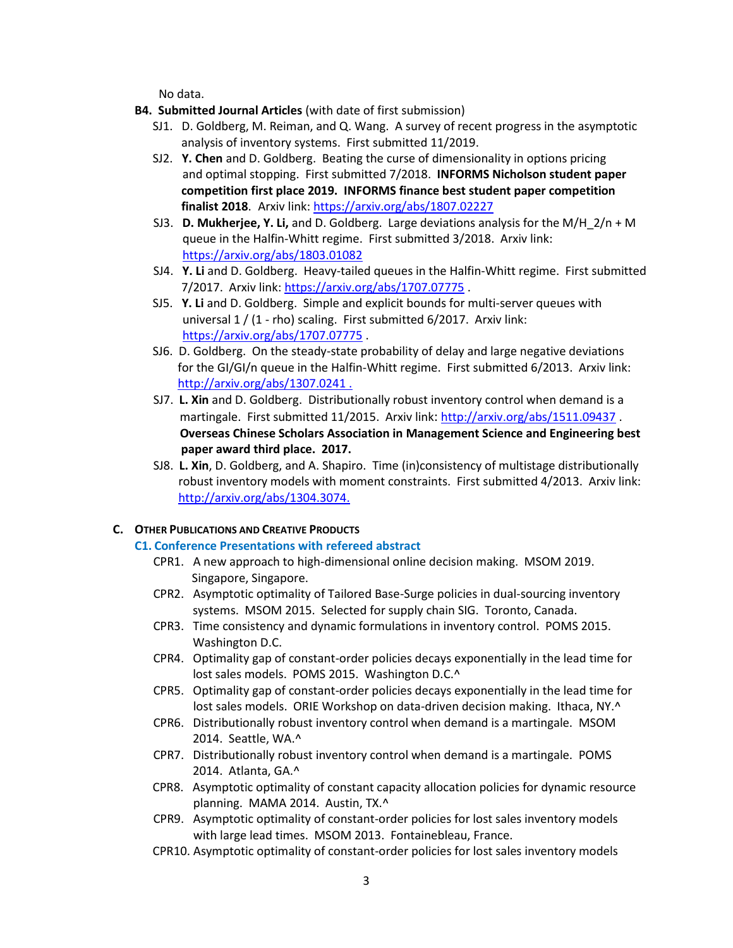No data.

- **B4. Submitted Journal Articles** (with date of first submission)
	- SJ1. D. Goldberg, M. Reiman, and Q. Wang. A survey of recent progress in the asymptotic analysis of inventory systems. First submitted 11/2019.
	- SJ2. **Y. Chen** and D. Goldberg. Beating the curse of dimensionality in options pricing and optimal stopping. First submitted 7/2018. **INFORMS Nicholson student paper competition first place 2019. INFORMS finance best student paper competition finalist 2018**. Arxiv link:<https://arxiv.org/abs/1807.02227>
	- SJ3.**D. Mukherjee, Y. Li,** and D. Goldberg. Large deviations analysis for the M/H\_2/n + M queue in the Halfin-Whitt regime. First submitted 3/2018. Arxiv link: <https://arxiv.org/abs/1803.01082>
	- SJ4.**Y. Li** and D. Goldberg. Heavy-tailed queues in the Halfin-Whitt regime. First submitted 7/2017. Arxiv link: [https://arxiv.org/abs/1707.07775](http://arxiv.org/abs/1707.07775) .
	- SJ5.**Y. Li** and D. Goldberg. Simple and explicit bounds for multi-server queues with universal 1 / (1 - rho) scaling. First submitted 6/2017. Arxiv link: [https://arxiv.org/abs/1707.07775](http://arxiv.org/abs/1707.07775) .
	- SJ6.D. Goldberg. On the steady-state probability of delay and large negative deviations for the GI/GI/n queue in the Halfin-Whitt regime. First submitted 6/2013. Arxiv link[:](http://arxiv.org/abs/1307.0241%20.)  [http://arxiv.org/abs/1307.0241 .](http://arxiv.org/abs/1307.0241%20.)
	- SJ7. **L. Xin** and D. Goldberg. Distributionally robust inventory control when demand is a martingale. First submitted 11/2015. Arxiv link: <http://arxiv.org/abs/1511.09437> . **Overseas Chinese Scholars Association in Management Science and Engineering best paper award third place. 2017.**
	- SJ8.**L. Xin**, D. Goldberg, and A. Shapiro. Time (in)consistency of multistage distributionally robust inventory models with moment constraints. First submitted 4/2013. Arxiv link: <http://arxiv.org/abs/1304.3074.>

#### **C. OTHER PUBLICATIONS AND CREATIVE PRODUCTS**

### **C1. Conference Presentations with refereed abstract**

- CPR1. A new approach to high-dimensional online decision making. MSOM 2019. Singapore, Singapore.
- CPR2. Asymptotic optimality of Tailored Base-Surge policies in dual-sourcing inventory systems. MSOM 2015. Selected for supply chain SIG. Toronto, Canada.
- CPR3. Time consistency and dynamic formulations in inventory control. POMS 2015. Washington D.C.
- CPR4. Optimality gap of constant-order policies decays exponentially in the lead time for lost sales models. POMS 2015. Washington D.C.^
- CPR5. Optimality gap of constant-order policies decays exponentially in the lead time for lost sales models. ORIE Workshop on data-driven decision making. Ithaca, NY.<sup>^</sup>
- CPR6. Distributionally robust inventory control when demand is a martingale. MSOM 2014. Seattle, WA.^
- CPR7. Distributionally robust inventory control when demand is a martingale. POMS 2014. Atlanta, GA.^
- CPR8. Asymptotic optimality of constant capacity allocation policies for dynamic resource planning. MAMA 2014. Austin, TX.^
- CPR9. Asymptotic optimality of constant-order policies for lost sales inventory models with large lead times. MSOM 2013. Fontainebleau, France.
- CPR10. Asymptotic optimality of constant-order policies for lost sales inventory models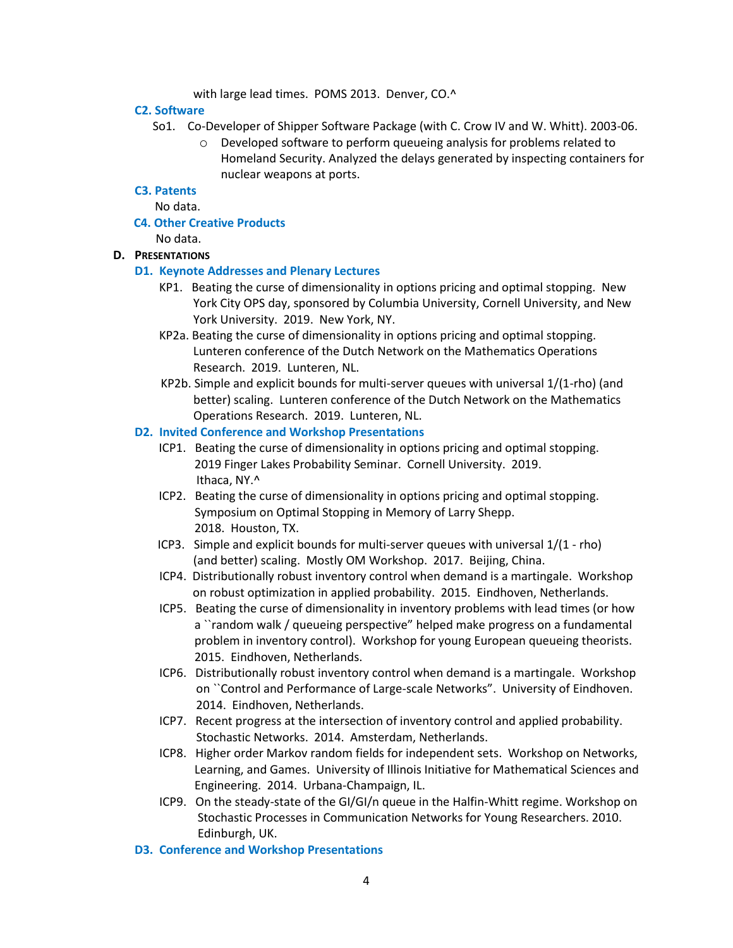with large lead times. POMS 2013. Denver, CO.^

#### **C2. Software**

- So1. Co-Developer of Shipper Software Package (with C. Crow IV and W. Whitt). 2003-06.
	- o Developed software to perform queueing analysis for problems related to Homeland Security. Analyzed the delays generated by inspecting containers for nuclear weapons at ports.

## **C3. Patents**

No data.

 **C4. Other Creative Products**

No data.

# **D. PRESENTATIONS**

#### **D1. Keynote Addresses and Plenary Lectures**

- KP1. Beating the curse of dimensionality in options pricing and optimal stopping. New York City OPS day, sponsored by Columbia University, Cornell University, and New York University. 2019. New York, NY.
- KP2a. Beating the curse of dimensionality in options pricing and optimal stopping. Lunteren conference of the Dutch Network on the Mathematics Operations Research. 2019. Lunteren, NL.
- KP2b. Simple and explicit bounds for multi-server queues with universal 1/(1-rho) (and better) scaling. Lunteren conference of the Dutch Network on the Mathematics Operations Research. 2019. Lunteren, NL.

#### **D2. Invited Conference and Workshop Presentations**

- ICP1. Beating the curse of dimensionality in options pricing and optimal stopping. 2019 Finger Lakes Probability Seminar. Cornell University. 2019. Ithaca, NY.^
- ICP2. Beating the curse of dimensionality in options pricing and optimal stopping. Symposium on Optimal Stopping in Memory of Larry Shepp. 2018. Houston, TX.
- ICP3. Simple and explicit bounds for multi-server queues with universal 1/(1 rho) (and better) scaling. Mostly OM Workshop. 2017. Beijing, China.
- ICP4. Distributionally robust inventory control when demand is a martingale. Workshop on robust optimization in applied probability. 2015. Eindhoven, Netherlands.
- ICP5. Beating the curse of dimensionality in inventory problems with lead times (or how a ``random walk / queueing perspective" helped make progress on a fundamental problem in inventory control). Workshop for young European queueing theorists. 2015. Eindhoven, Netherlands.
- ICP6. Distributionally robust inventory control when demand is a martingale. Workshop on ``Control and Performance of Large-scale Networks". University of Eindhoven. 2014. Eindhoven, Netherlands.
- ICP7. Recent progress at the intersection of inventory control and applied probability. Stochastic Networks. 2014. Amsterdam, Netherlands.
- ICP8. Higher order Markov random fields for independent sets. Workshop on Networks, Learning, and Games. University of Illinois Initiative for Mathematical Sciences and Engineering. 2014. Urbana-Champaign, IL.
- ICP9. On the steady-state of the GI/GI/n queue in the Halfin-Whitt regime. Workshop on Stochastic Processes in Communication Networks for Young Researchers. 2010. Edinburgh, UK.
- **D3. Conference and Workshop Presentations**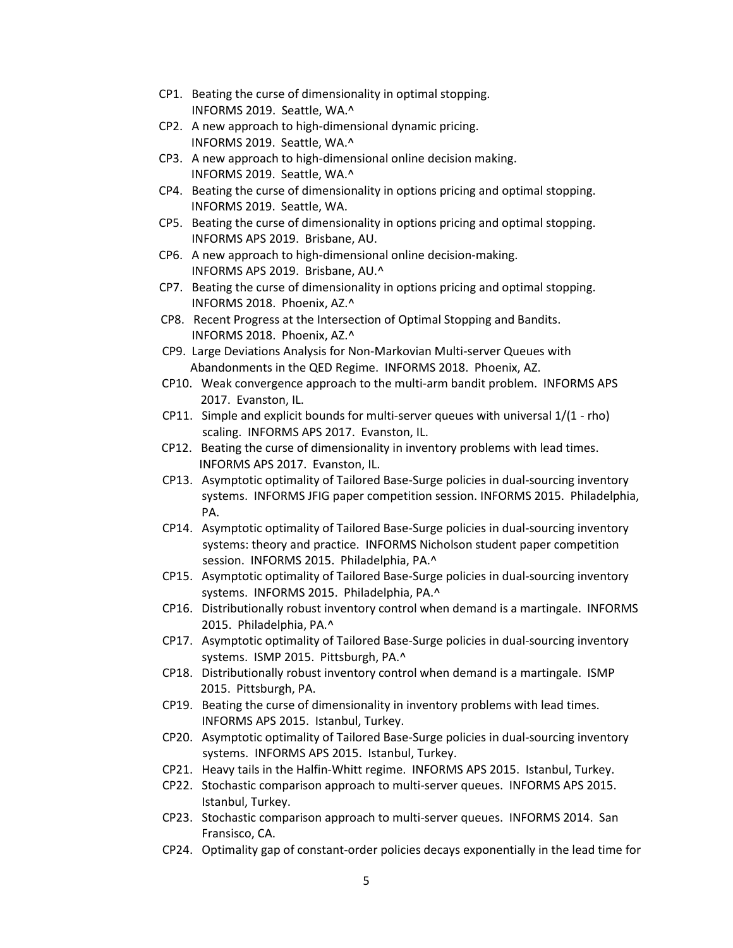- CP1. Beating the curse of dimensionality in optimal stopping. INFORMS 2019. Seattle, WA.^
- CP2. A new approach to high-dimensional dynamic pricing. INFORMS 2019. Seattle, WA.^
- CP3. A new approach to high-dimensional online decision making. INFORMS 2019. Seattle, WA.^
- CP4. Beating the curse of dimensionality in options pricing and optimal stopping. INFORMS 2019. Seattle, WA.
- CP5. Beating the curse of dimensionality in options pricing and optimal stopping. INFORMS APS 2019. Brisbane, AU.
- CP6. A new approach to high-dimensional online decision-making. INFORMS APS 2019. Brisbane, AU.^
- CP7. Beating the curse of dimensionality in options pricing and optimal stopping. INFORMS 2018. Phoenix, AZ.^
- CP8. Recent Progress at the Intersection of Optimal Stopping and Bandits. INFORMS 2018. Phoenix, AZ.^
- CP9. Large Deviations Analysis for Non-Markovian Multi-server Queues with Abandonments in the QED Regime. INFORMS 2018. Phoenix, AZ.
- CP10. Weak convergence approach to the multi-arm bandit problem. INFORMS APS 2017. Evanston, IL.
- CP11. Simple and explicit bounds for multi-server queues with universal 1/(1 rho) scaling. INFORMS APS 2017. Evanston, IL.
- CP12. Beating the curse of dimensionality in inventory problems with lead times. INFORMS APS 2017. Evanston, IL.
- CP13. Asymptotic optimality of Tailored Base-Surge policies in dual-sourcing inventory systems. INFORMS JFIG paper competition session. INFORMS 2015. Philadelphia, PA.
- CP14. Asymptotic optimality of Tailored Base-Surge policies in dual-sourcing inventory systems: theory and practice. INFORMS Nicholson student paper competition session. INFORMS 2015. Philadelphia, PA.^
- CP15. Asymptotic optimality of Tailored Base-Surge policies in dual-sourcing inventory systems. INFORMS 2015. Philadelphia, PA.^
- CP16. Distributionally robust inventory control when demand is a martingale. INFORMS 2015. Philadelphia, PA.^
- CP17. Asymptotic optimality of Tailored Base-Surge policies in dual-sourcing inventory systems. ISMP 2015. Pittsburgh, PA.^
- CP18. Distributionally robust inventory control when demand is a martingale. ISMP 2015. Pittsburgh, PA.
- CP19. Beating the curse of dimensionality in inventory problems with lead times. INFORMS APS 2015. Istanbul, Turkey.
- CP20. Asymptotic optimality of Tailored Base-Surge policies in dual-sourcing inventory systems. INFORMS APS 2015. Istanbul, Turkey.
- CP21. Heavy tails in the Halfin-Whitt regime. INFORMS APS 2015. Istanbul, Turkey.
- CP22. Stochastic comparison approach to multi-server queues. INFORMS APS 2015. Istanbul, Turkey.
- CP23. Stochastic comparison approach to multi-server queues. INFORMS 2014. San Fransisco, CA.
- CP24. Optimality gap of constant-order policies decays exponentially in the lead time for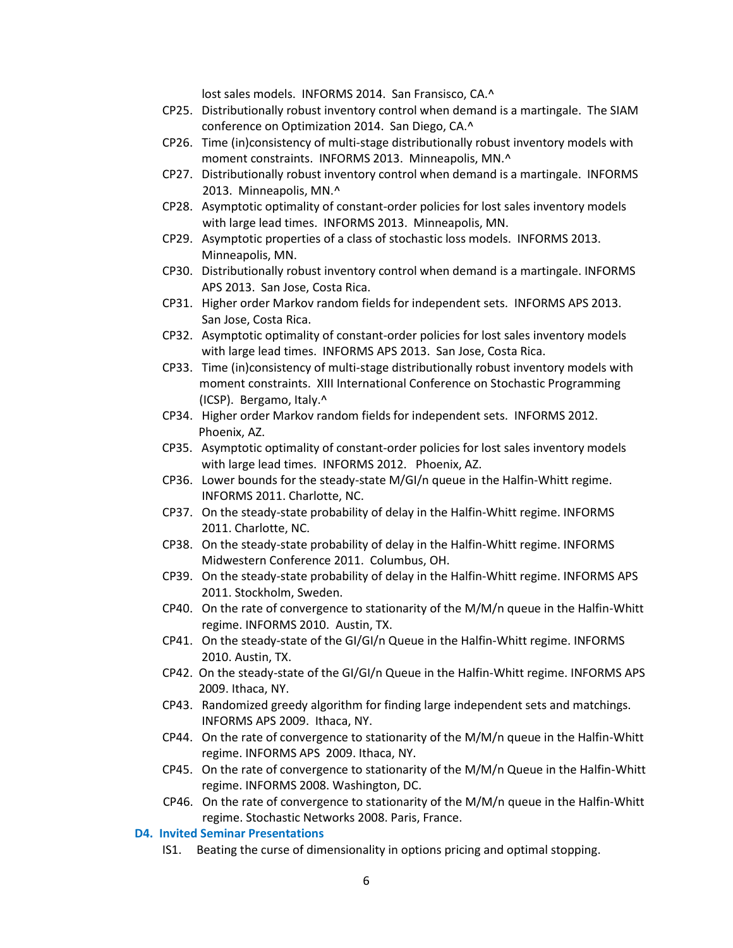lost sales models. INFORMS 2014. San Fransisco, CA.^

- CP25. Distributionally robust inventory control when demand is a martingale. The SIAM conference on Optimization 2014. San Diego, CA.^
- CP26. Time (in)consistency of multi-stage distributionally robust inventory models with moment constraints. INFORMS 2013. Minneapolis, MN.^
- CP27. Distributionally robust inventory control when demand is a martingale. INFORMS 2013. Minneapolis, MN.^
- CP28. Asymptotic optimality of constant-order policies for lost sales inventory models with large lead times. INFORMS 2013. Minneapolis, MN.
- CP29. Asymptotic properties of a class of stochastic loss models. INFORMS 2013. Minneapolis, MN.
- CP30. Distributionally robust inventory control when demand is a martingale. INFORMS APS 2013. San Jose, Costa Rica.
- CP31. Higher order Markov random fields for independent sets. INFORMS APS 2013. San Jose, Costa Rica.
- CP32. Asymptotic optimality of constant-order policies for lost sales inventory models with large lead times. INFORMS APS 2013. San Jose, Costa Rica.
- CP33. Time (in)consistency of multi-stage distributionally robust inventory models with moment constraints. XIII International Conference on Stochastic Programming (ICSP). Bergamo, Italy.^
- CP34. Higher order Markov random fields for independent sets. INFORMS 2012. Phoenix, AZ.
- CP35. Asymptotic optimality of constant-order policies for lost sales inventory models with large lead times. INFORMS 2012. Phoenix, AZ.
- CP36. Lower bounds for the steady-state M/GI/n queue in the Halfin-Whitt regime. INFORMS 2011. Charlotte, NC.
- CP37. On the steady-state probability of delay in the Halfin-Whitt regime. INFORMS 2011. Charlotte, NC.
- CP38. On the steady-state probability of delay in the Halfin-Whitt regime. INFORMS Midwestern Conference 2011. Columbus, OH.
- CP39. On the steady-state probability of delay in the Halfin-Whitt regime. INFORMS APS 2011. Stockholm, Sweden.
- CP40. On the rate of convergence to stationarity of the M/M/n queue in the Halfin-Whitt regime. INFORMS 2010. Austin, TX.
- CP41. On the steady-state of the GI/GI/n Queue in the Halfin-Whitt regime. INFORMS 2010. Austin, TX.
- CP42. On the steady-state of the GI/GI/n Queue in the Halfin-Whitt regime. INFORMS APS 2009. Ithaca, NY.
- CP43. Randomized greedy algorithm for finding large independent sets and matchings. INFORMS APS 2009. Ithaca, NY.
- CP44. On the rate of convergence to stationarity of the M/M/n queue in the Halfin-Whitt regime. INFORMS APS 2009. Ithaca, NY.
- CP45. On the rate of convergence to stationarity of the M/M/n Queue in the Halfin-Whitt regime. INFORMS 2008. Washington, DC.
- CP46. On the rate of convergence to stationarity of the M/M/n queue in the Halfin-Whitt regime. Stochastic Networks 2008. Paris, France.
- **D4. Invited Seminar Presentations**
	- IS1. Beating the curse of dimensionality in options pricing and optimal stopping.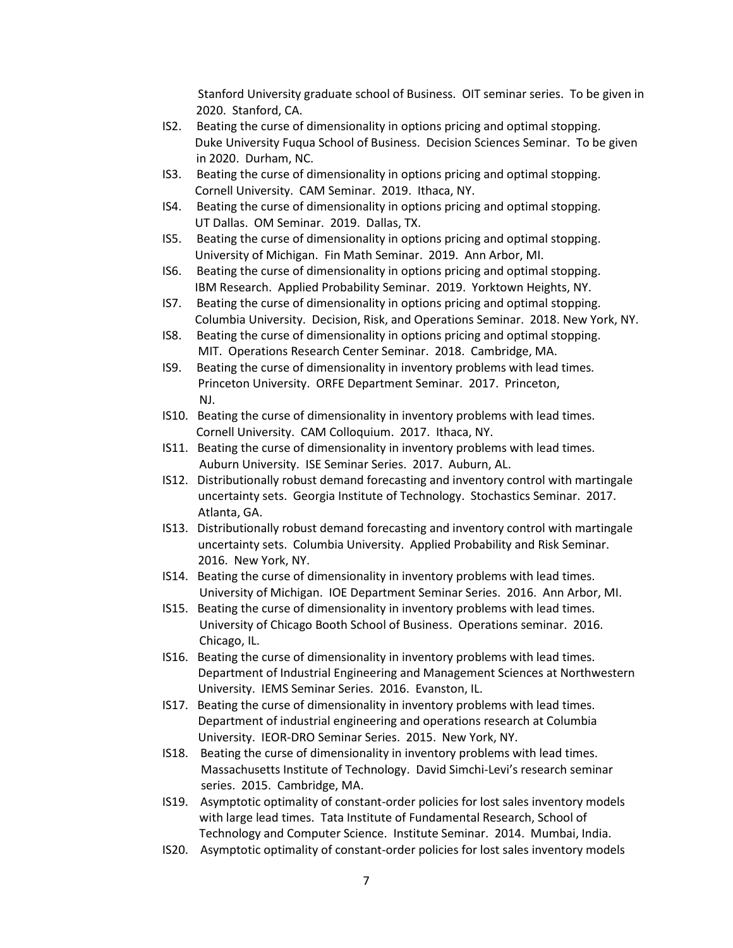Stanford University graduate school of Business. OIT seminar series. To be given in 2020. Stanford, CA.

- IS2. Beating the curse of dimensionality in options pricing and optimal stopping. Duke University Fuqua School of Business. Decision Sciences Seminar. To be given in 2020. Durham, NC.
- IS3. Beating the curse of dimensionality in options pricing and optimal stopping. Cornell University. CAM Seminar. 2019. Ithaca, NY.
- IS4. Beating the curse of dimensionality in options pricing and optimal stopping. UT Dallas. OM Seminar. 2019. Dallas, TX.
- IS5. Beating the curse of dimensionality in options pricing and optimal stopping. University of Michigan. Fin Math Seminar. 2019. Ann Arbor, MI.
- IS6. Beating the curse of dimensionality in options pricing and optimal stopping. IBM Research. Applied Probability Seminar. 2019. Yorktown Heights, NY.
- IS7. Beating the curse of dimensionality in options pricing and optimal stopping. Columbia University. Decision, Risk, and Operations Seminar. 2018. New York, NY.
- IS8. Beating the curse of dimensionality in options pricing and optimal stopping. MIT. Operations Research Center Seminar. 2018. Cambridge, MA.
- IS9. Beating the curse of dimensionality in inventory problems with lead times. Princeton University. ORFE Department Seminar. 2017. Princeton, NJ.
- IS10. Beating the curse of dimensionality in inventory problems with lead times. Cornell University. CAM Colloquium. 2017. Ithaca, NY.
- IS11. Beating the curse of dimensionality in inventory problems with lead times. Auburn University. ISE Seminar Series. 2017. Auburn, AL.
- IS12. Distributionally robust demand forecasting and inventory control with martingale uncertainty sets. Georgia Institute of Technology. Stochastics Seminar. 2017. Atlanta, GA.
- IS13. Distributionally robust demand forecasting and inventory control with martingale uncertainty sets. Columbia University. Applied Probability and Risk Seminar. 2016. New York, NY.
- IS14. Beating the curse of dimensionality in inventory problems with lead times. University of Michigan. IOE Department Seminar Series. 2016. Ann Arbor, MI.
- IS15. Beating the curse of dimensionality in inventory problems with lead times. University of Chicago Booth School of Business. Operations seminar. 2016. Chicago, IL.
- IS16. Beating the curse of dimensionality in inventory problems with lead times. Department of Industrial Engineering and Management Sciences at Northwestern University. IEMS Seminar Series. 2016. Evanston, IL.
- IS17. Beating the curse of dimensionality in inventory problems with lead times. Department of industrial engineering and operations research at Columbia University. IEOR-DRO Seminar Series. 2015. New York, NY.
- IS18. Beating the curse of dimensionality in inventory problems with lead times. Massachusetts Institute of Technology. David Simchi-Levi's research seminar series. 2015. Cambridge, MA.
- IS19. Asymptotic optimality of constant-order policies for lost sales inventory models with large lead times. Tata Institute of Fundamental Research, School of Technology and Computer Science. Institute Seminar. 2014. Mumbai, India.
- IS20. Asymptotic optimality of constant-order policies for lost sales inventory models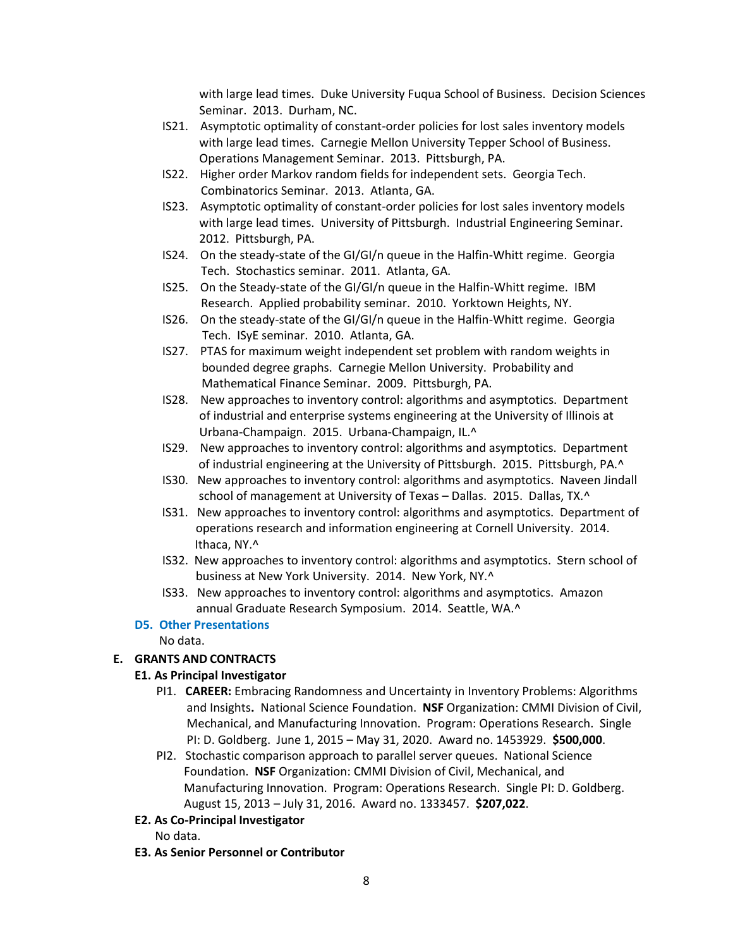with large lead times. Duke University Fuqua School of Business. Decision Sciences Seminar. 2013. Durham, NC.

- IS21. Asymptotic optimality of constant-order policies for lost sales inventory models with large lead times. Carnegie Mellon University Tepper School of Business. Operations Management Seminar. 2013. Pittsburgh, PA.
- IS22. Higher order Markov random fields for independent sets. Georgia Tech. Combinatorics Seminar. 2013. Atlanta, GA.
- IS23. Asymptotic optimality of constant-order policies for lost sales inventory models with large lead times. University of Pittsburgh. Industrial Engineering Seminar. 2012. Pittsburgh, PA.
- IS24. On the steady-state of the GI/GI/n queue in the Halfin-Whitt regime. Georgia Tech. Stochastics seminar. 2011. Atlanta, GA.
- IS25. On the Steady-state of the GI/GI/n queue in the Halfin-Whitt regime. IBM Research. Applied probability seminar. 2010. Yorktown Heights, NY.
- IS26. On the steady-state of the GI/GI/n queue in the Halfin-Whitt regime. Georgia Tech. ISyE seminar. 2010. Atlanta, GA.
- IS27. PTAS for maximum weight independent set problem with random weights in bounded degree graphs. Carnegie Mellon University. Probability and Mathematical Finance Seminar. 2009. Pittsburgh, PA.
- IS28. New approaches to inventory control: algorithms and asymptotics. Department of industrial and enterprise systems engineering at the University of Illinois at Urbana-Champaign. 2015. Urbana-Champaign, IL.^
- IS29. New approaches to inventory control: algorithms and asymptotics. Department of industrial engineering at the University of Pittsburgh. 2015. Pittsburgh, PA.^
- IS30. New approaches to inventory control: algorithms and asymptotics. Naveen Jindall school of management at University of Texas - Dallas. 2015. Dallas, TX.^
- IS31. New approaches to inventory control: algorithms and asymptotics. Department of operations research and information engineering at Cornell University. 2014. Ithaca, NY.^
- IS32. New approaches to inventory control: algorithms and asymptotics. Stern school of business at New York University. 2014. New York, NY.^
- IS33. New approaches to inventory control: algorithms and asymptotics. Amazon annual Graduate Research Symposium. 2014. Seattle, WA.^

# **D5. Other Presentations**

No data.

# **E. GRANTS AND CONTRACTS**

# **E1. As Principal Investigator**

- PI1. **CAREER:** Embracing Randomness and Uncertainty in Inventory Problems: Algorithms and Insights**.** National Science Foundation. **NSF** Organization: CMMI Division of Civil, Mechanical, and Manufacturing Innovation. Program: Operations Research. Single PI: D. Goldberg. June 1, 2015 – May 31, 2020. Award no. 1453929. **\$500,000**.
- PI2. Stochastic comparison approach to parallel server queues. National Science Foundation. **NSF** Organization: CMMI Division of Civil, Mechanical, and Manufacturing Innovation. Program: Operations Research. Single PI: D. Goldberg. August 15, 2013 – July 31, 2016. Award no. 1333457. **\$207,022**.

# **E2. As Co-Principal Investigator**

No data.

**E3. As Senior Personnel or Contributor**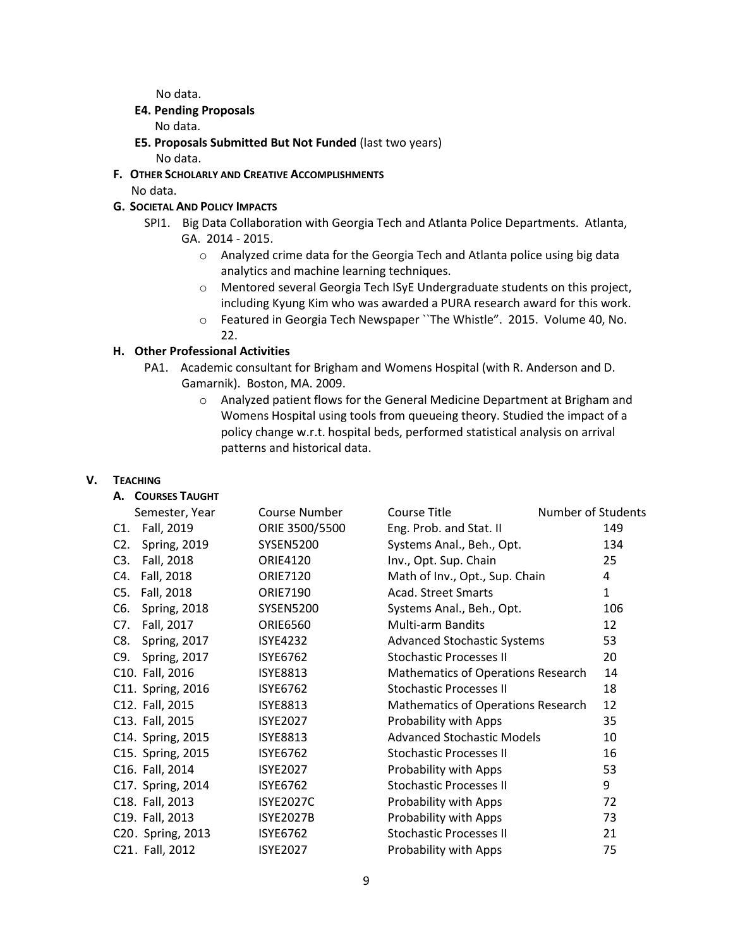No data.

### **E4. Pending Proposals**

No data.

- **E5. Proposals Submitted But Not Funded** (last two years) No data.
- **F. OTHER SCHOLARLY AND CREATIVE ACCOMPLISHMENTS**  No data.

# **G. SOCIETAL AND POLICY IMPACTS**

- SPI1. Big Data Collaboration with Georgia Tech and Atlanta Police Departments. Atlanta, GA. 2014 - 2015.
	- o Analyzed crime data for the Georgia Tech and Atlanta police using big data analytics and machine learning techniques.
	- o Mentored several Georgia Tech ISyE Undergraduate students on this project, including Kyung Kim who was awarded a PURA research award for this work.
	- o Featured in Georgia Tech Newspaper ``The Whistle". 2015. Volume 40, No. 22.

# **H. Other Professional Activities**

- PA1. Academic consultant for Brigham and Womens Hospital (with R. Anderson and D. Gamarnik). Boston, MA. 2009.
	- o Analyzed patient flows for the General Medicine Department at Brigham and Womens Hospital using tools from queueing theory. Studied the impact of a policy change w.r.t. hospital beds, performed statistical analysis on arrival patterns and historical data.

### **V. TEACHING**

| А. | <b>COURSES TAUGHT</b> |  |
|----|-----------------------|--|
|----|-----------------------|--|

| Semester, Year             | Course Number    | Course Title                              | Number of Students |
|----------------------------|------------------|-------------------------------------------|--------------------|
| Fall, 2019<br>C1.          | ORIE 3500/5500   | Eng. Prob. and Stat. II                   | 149                |
| C2.<br><b>Spring, 2019</b> | <b>SYSEN5200</b> | Systems Anal., Beh., Opt.                 | 134                |
| C3.<br>Fall, 2018          | <b>ORIE4120</b>  | Inv., Opt. Sup. Chain                     | 25                 |
| Fall, 2018<br>C4.          | <b>ORIE7120</b>  | Math of Inv., Opt., Sup. Chain            | 4                  |
| Fall, 2018<br>C5.          | <b>ORIE7190</b>  | <b>Acad. Street Smarts</b>                | $\mathbf{1}$       |
| C6.<br><b>Spring, 2018</b> | <b>SYSEN5200</b> | Systems Anal., Beh., Opt.                 | 106                |
| Fall, 2017<br>C7.          | <b>ORIE6560</b>  | <b>Multi-arm Bandits</b>                  | 12                 |
| C8.<br><b>Spring, 2017</b> | <b>ISYE4232</b>  | <b>Advanced Stochastic Systems</b>        | 53                 |
| <b>Spring, 2017</b><br>C9. | <b>ISYE6762</b>  | <b>Stochastic Processes II</b>            | 20                 |
| C10. Fall, 2016            | <b>ISYE8813</b>  | <b>Mathematics of Operations Research</b> | 14                 |
| C11. Spring, 2016          | <b>ISYE6762</b>  | <b>Stochastic Processes II</b>            | 18                 |
| C12. Fall, 2015            | <b>ISYE8813</b>  | <b>Mathematics of Operations Research</b> | 12                 |
| C13. Fall, 2015            | <b>ISYE2027</b>  | Probability with Apps                     | 35                 |
| C14. Spring, 2015          | <b>ISYE8813</b>  | <b>Advanced Stochastic Models</b>         | 10                 |
| C15. Spring, 2015          | <b>ISYE6762</b>  | <b>Stochastic Processes II</b>            | 16                 |
| C16. Fall, 2014            | <b>ISYE2027</b>  | Probability with Apps                     | 53                 |
| C17. Spring, 2014          | <b>ISYE6762</b>  | <b>Stochastic Processes II</b>            | 9                  |
| C18. Fall, 2013            | <b>ISYE2027C</b> | Probability with Apps                     | 72                 |
| C19. Fall, 2013            | <b>ISYE2027B</b> | Probability with Apps                     | 73                 |
| C20. Spring, 2013          | <b>ISYE6762</b>  | <b>Stochastic Processes II</b>            | 21                 |
| C21. Fall, 2012            | <b>ISYE2027</b>  | Probability with Apps                     | 75                 |
|                            |                  |                                           |                    |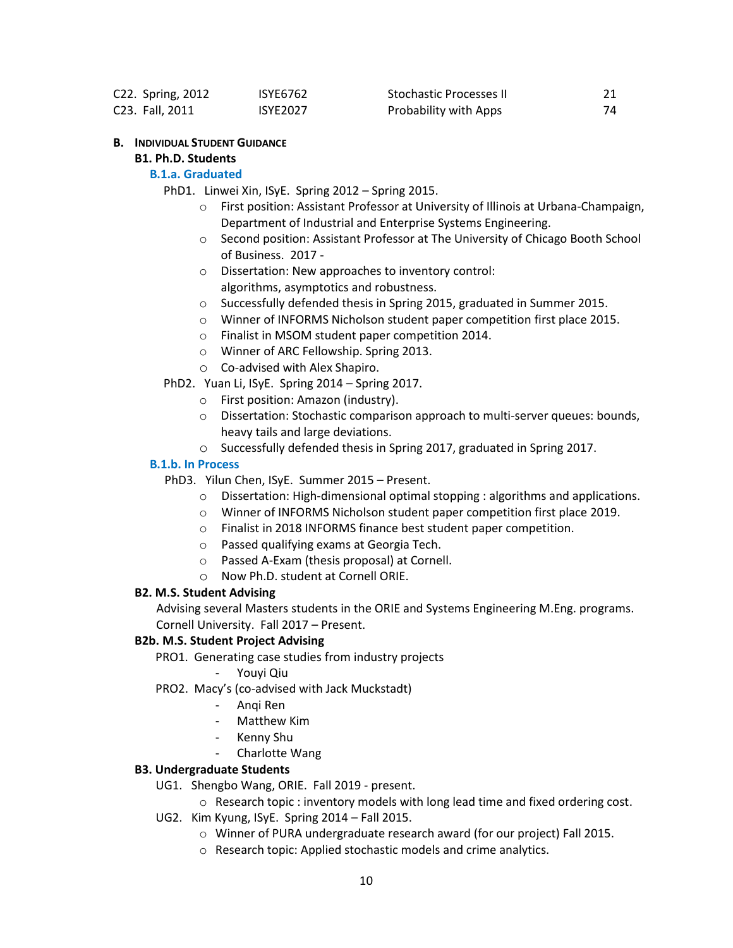|                 | C22. Spring, 2012 | <b>ISYE6762</b> | <b>Stochastic Processes II</b> |  |
|-----------------|-------------------|-----------------|--------------------------------|--|
| C23. Fall, 2011 |                   | <b>ISYE2027</b> | Probability with Apps          |  |

#### **B. INDIVIDUAL STUDENT GUIDANCE**

# **B1. Ph.D. Students**

### **B.1.a. Graduated**

- PhD1. Linwei Xin, ISyE. Spring 2012 Spring 2015.
	- o First position: Assistant Professor at University of Illinois at Urbana-Champaign, Department of Industrial and Enterprise Systems Engineering.
	- o Second position: Assistant Professor at The University of Chicago Booth School of Business. 2017 -
	- o Dissertation: New approaches to inventory control: algorithms, asymptotics and robustness.
	- o Successfully defended thesis in Spring 2015, graduated in Summer 2015.
	- o Winner of INFORMS Nicholson student paper competition first place 2015.
	- o Finalist in MSOM student paper competition 2014.
	- o Winner of ARC Fellowship. Spring 2013.
	- o Co-advised with Alex Shapiro.

PhD2. Yuan Li, ISyE. Spring 2014 – Spring 2017.

- o First position: Amazon (industry).
- o Dissertation: Stochastic comparison approach to multi-server queues: bounds, heavy tails and large deviations.
- o Successfully defended thesis in Spring 2017, graduated in Spring 2017.

#### **B.1.b. In Process**

PhD3. Yilun Chen, ISyE. Summer 2015 – Present.

- $\circ$  Dissertation: High-dimensional optimal stopping : algorithms and applications.
- o Winner of INFORMS Nicholson student paper competition first place 2019.
- o Finalist in 2018 INFORMS finance best student paper competition.
- o Passed qualifying exams at Georgia Tech.
- o Passed A-Exam (thesis proposal) at Cornell.
- o Now Ph.D. student at Cornell ORIE.

### **B2. M.S. Student Advising**

Advising several Masters students in the ORIE and Systems Engineering M.Eng. programs. Cornell University. Fall 2017 – Present.

### **B2b. M.S. Student Project Advising**

PRO1. Generating case studies from industry projects

- Youyi Qiu
- PRO2. Macy's (co-advised with Jack Muckstadt)
	- Anqi Ren
	- Matthew Kim
	- Kenny Shu
	- Charlotte Wang

#### **B3. Undergraduate Students**

- UG1. Shengbo Wang, ORIE. Fall 2019 present.
	- o Research topic : inventory models with long lead time and fixed ordering cost.
- UG2. Kim Kyung, ISyE. Spring 2014 Fall 2015.
	- o Winner of PURA undergraduate research award (for our project) Fall 2015.
	- o Research topic: Applied stochastic models and crime analytics.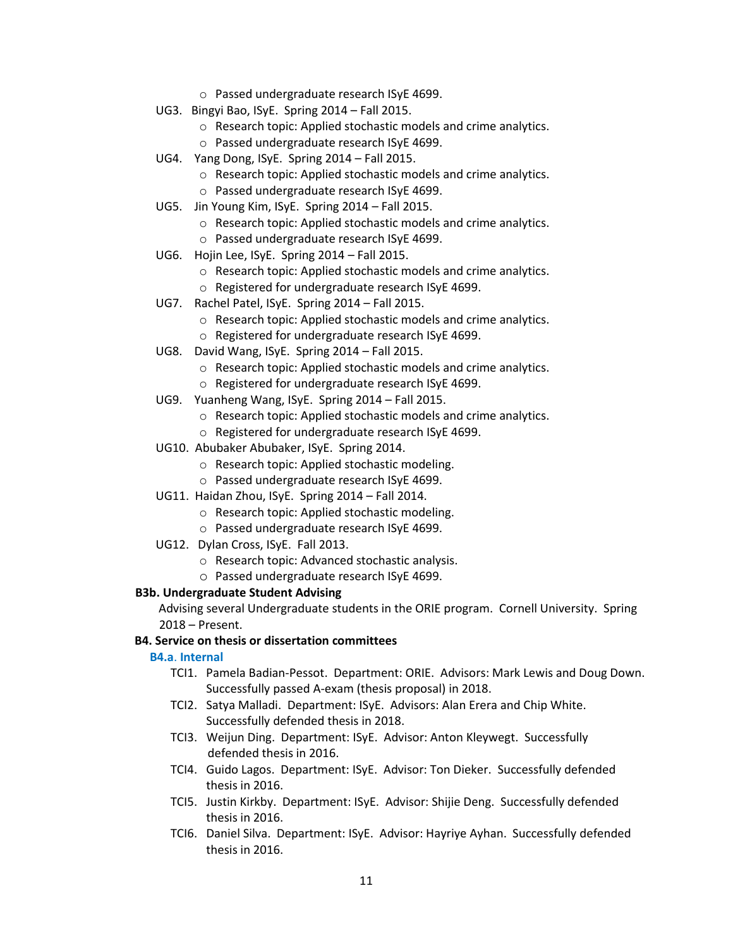- o Passed undergraduate research ISyE 4699.
- UG3. Bingyi Bao, ISyE. Spring 2014 Fall 2015.
	- o Research topic: Applied stochastic models and crime analytics.
	- o Passed undergraduate research ISyE 4699.
- UG4. Yang Dong, ISyE. Spring 2014 Fall 2015.
	- o Research topic: Applied stochastic models and crime analytics.
	- o Passed undergraduate research ISyE 4699.
- UG5. Jin Young Kim, ISyE. Spring 2014 Fall 2015.
	- o Research topic: Applied stochastic models and crime analytics.
	- o Passed undergraduate research ISyE 4699.
- UG6. Hojin Lee, ISyE. Spring 2014 Fall 2015.
	- o Research topic: Applied stochastic models and crime analytics.
	- o Registered for undergraduate research ISyE 4699.
- UG7. Rachel Patel, ISyE. Spring 2014 Fall 2015.
	- o Research topic: Applied stochastic models and crime analytics.
	- o Registered for undergraduate research ISyE 4699.
- UG8. David Wang, ISyE. Spring 2014 Fall 2015.
	- o Research topic: Applied stochastic models and crime analytics.
	- o Registered for undergraduate research ISyE 4699.
- UG9. Yuanheng Wang, ISyE. Spring 2014 Fall 2015.
	- o Research topic: Applied stochastic models and crime analytics.
	- o Registered for undergraduate research ISyE 4699.
- UG10. Abubaker Abubaker, ISyE. Spring 2014.
	- o Research topic: Applied stochastic modeling.
	- o Passed undergraduate research ISyE 4699.
- UG11. Haidan Zhou, ISyE. Spring 2014 Fall 2014.
	- o Research topic: Applied stochastic modeling.
	- o Passed undergraduate research ISyE 4699.
- UG12. Dylan Cross, ISyE. Fall 2013.
	- o Research topic: Advanced stochastic analysis.
	- o Passed undergraduate research ISyE 4699.

### **B3b. Undergraduate Student Advising**

 Advising several Undergraduate students in the ORIE program. Cornell University. Spring 2018 – Present.

### **B4. Service on thesis or dissertation committees**

#### **B4.a**. **Internal**

- TCI1. Pamela Badian-Pessot. Department: ORIE. Advisors: Mark Lewis and Doug Down. Successfully passed A-exam (thesis proposal) in 2018.
- TCI2. Satya Malladi. Department: ISyE. Advisors: Alan Erera and Chip White. Successfully defended thesis in 2018.
- TCI3. Weijun Ding. Department: ISyE. Advisor: Anton Kleywegt. Successfully defended thesis in 2016.
- TCI4. Guido Lagos. Department: ISyE. Advisor: Ton Dieker. Successfully defended thesis in 2016.
- TCI5. Justin Kirkby. Department: ISyE. Advisor: Shijie Deng. Successfully defended thesis in 2016.
- TCI6. Daniel Silva. Department: ISyE. Advisor: Hayriye Ayhan. Successfully defended thesis in 2016.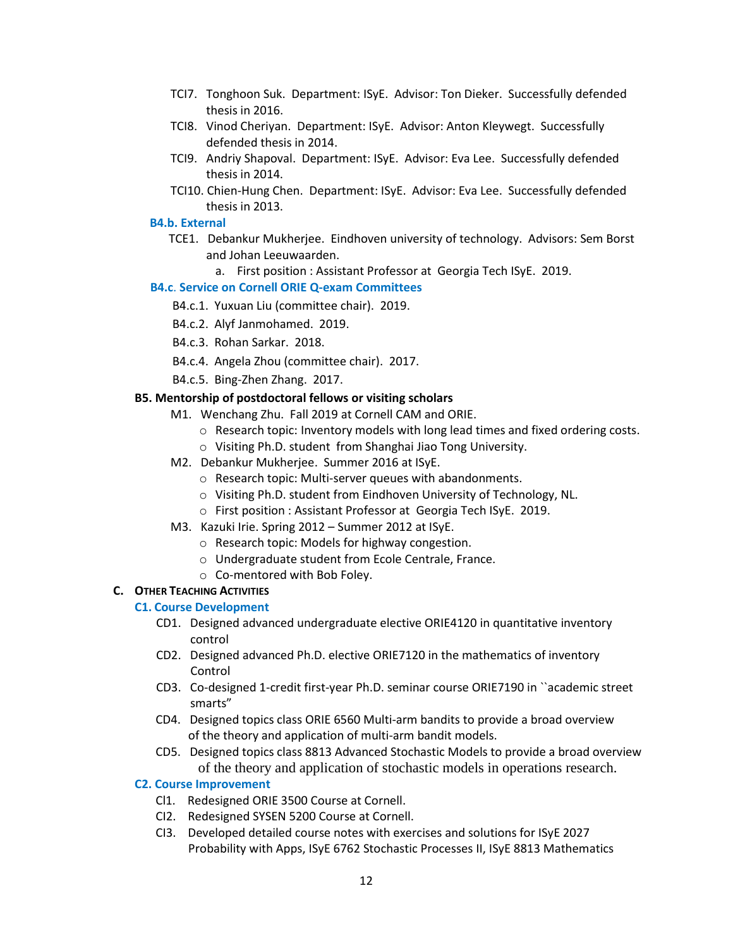- TCI7. Tonghoon Suk. Department: ISyE. Advisor: Ton Dieker. Successfully defended thesis in 2016.
- TCI8. Vinod Cheriyan. Department: ISyE. Advisor: Anton Kleywegt. Successfully defended thesis in 2014.
- TCI9. Andriy Shapoval. Department: ISyE. Advisor: Eva Lee. Successfully defended thesis in 2014.
- TCI10. Chien-Hung Chen. Department: ISyE. Advisor: Eva Lee. Successfully defended thesis in 2013.

## **B4.b. External**

- TCE1. Debankur Mukherjee. Eindhoven university of technology. Advisors: Sem Borst and Johan Leeuwaarden.
	- a. First position : Assistant Professor at Georgia Tech ISyE. 2019.

# **B4.c**. **Service on Cornell ORIE Q-exam Committees**

- B4.c.1. Yuxuan Liu (committee chair). 2019.
- B4.c.2. Alyf Janmohamed. 2019.
- B4.c.3. Rohan Sarkar. 2018.
- B4.c.4. Angela Zhou (committee chair). 2017.
- B4.c.5. Bing-Zhen Zhang. 2017.

# **B5. Mentorship of postdoctoral fellows or visiting scholars**

- M1. Wenchang Zhu. Fall 2019 at Cornell CAM and ORIE.
	- $\circ$  Research topic: Inventory models with long lead times and fixed ordering costs.
	- o Visiting Ph.D. student from Shanghai Jiao Tong University.
- M2. Debankur Mukherjee. Summer 2016 at ISyE.
	- o Research topic: Multi-server queues with abandonments.
	- o Visiting Ph.D. student from Eindhoven University of Technology, NL.
	- o First position : Assistant Professor at Georgia Tech ISyE. 2019.
- M3. Kazuki Irie. Spring 2012 Summer 2012 at ISyE.
	- o Research topic: Models for highway congestion.
	- o Undergraduate student from Ecole Centrale, France.
	- o Co-mentored with Bob Foley.

# **C. OTHER TEACHING ACTIVITIES**

# **C1. Course Development**

- CD1. Designed advanced undergraduate elective ORIE4120 in quantitative inventory control
- CD2. Designed advanced Ph.D. elective ORIE7120 in the mathematics of inventory Control
- CD3. Co-designed 1-credit first-year Ph.D. seminar course ORIE7190 in ``academic street smarts"
- CD4. Designed topics class ORIE 6560 Multi-arm bandits to provide a broad overview of the theory and application of multi-arm bandit models.
- CD5. Designed topics class 8813 Advanced Stochastic Models to provide a broad overview of the theory and application of stochastic models in operations research.

# **C2. Course Improvement**

- Cl1. Redesigned ORIE 3500 Course at Cornell.
- CI2. Redesigned SYSEN 5200 Course at Cornell.
- CI3. Developed detailed course notes with exercises and solutions for ISyE 2027 Probability with Apps, ISyE 6762 Stochastic Processes II, ISyE 8813 Mathematics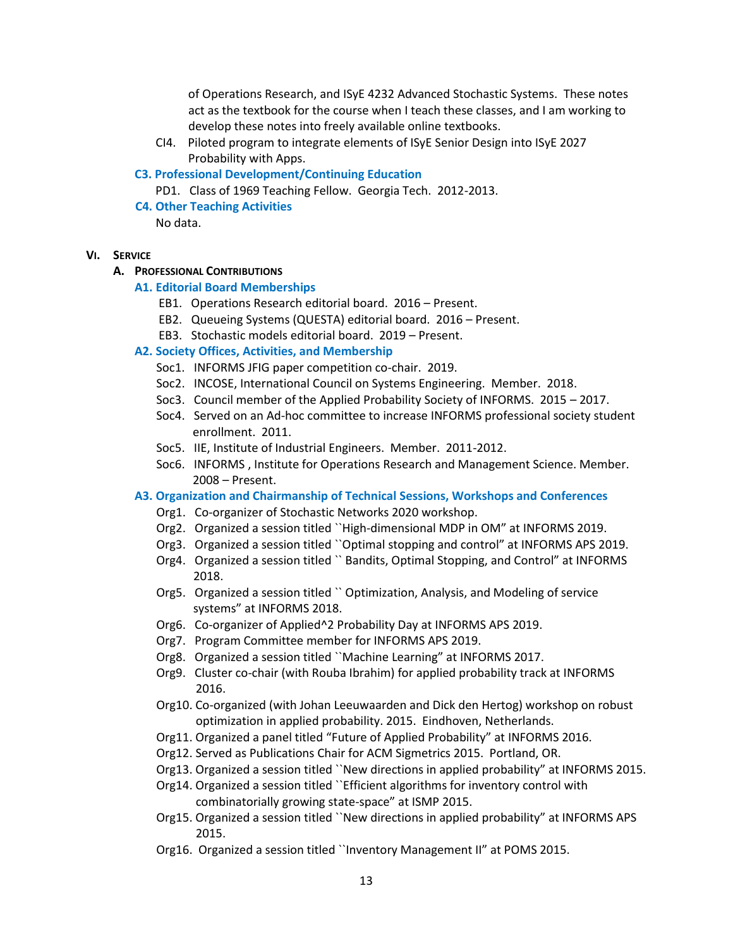of Operations Research, and ISyE 4232 Advanced Stochastic Systems. These notes act as the textbook for the course when I teach these classes, and I am working to develop these notes into freely available online textbooks.

- CI4. Piloted program to integrate elements of ISyE Senior Design into ISyE 2027 Probability with Apps.
- **C3. Professional Development/Continuing Education**

PD1. Class of 1969 Teaching Fellow. Georgia Tech. 2012-2013.

 **C4. Other Teaching Activities** No data.

#### **VI. SERVICE**

#### **A. PROFESSIONAL CONTRIBUTIONS**

#### **A1. Editorial Board Memberships**

- EB1. Operations Research editorial board. 2016 Present.
- EB2. Queueing Systems (QUESTA) editorial board. 2016 Present.
- EB3. Stochastic models editorial board. 2019 Present.

### **A2. Society Offices, Activities, and Membership**

- Soc1. INFORMS JFIG paper competition co-chair. 2019.
- Soc2. INCOSE, International Council on Systems Engineering. Member. 2018.
- Soc3. Council member of the Applied Probability Society of INFORMS. 2015 2017.
- Soc4. Served on an Ad-hoc committee to increase INFORMS professional society student enrollment. 2011.
- Soc5. IIE, Institute of Industrial Engineers. Member. 2011-2012.
- Soc6. INFORMS , Institute for Operations Research and Management Science. Member. 2008 – Present.

#### **A3. Organization and Chairmanship of Technical Sessions, Workshops and Conferences**

- Org1. Co-organizer of Stochastic Networks 2020 workshop.
- Org2. Organized a session titled ``High-dimensional MDP in OM" at INFORMS 2019.
- Org3. Organized a session titled ``Optimal stopping and control" at INFORMS APS 2019.
- Org4. Organized a session titled `` Bandits, Optimal Stopping, and Control" at INFORMS 2018.
- Org5. Organized a session titled `` Optimization, Analysis, and Modeling of service systems" at INFORMS 2018.
- Org6. Co-organizer of Applied^2 Probability Day at INFORMS APS 2019.
- Org7. Program Committee member for INFORMS APS 2019.
- Org8. Organized a session titled ``Machine Learning" at INFORMS 2017.
- Org9. Cluster co-chair (with Rouba Ibrahim) for applied probability track at INFORMS 2016.
- Org10. Co-organized (with Johan Leeuwaarden and Dick den Hertog) workshop on robust optimization in applied probability. 2015. Eindhoven, Netherlands.
- Org11. Organized a panel titled "Future of Applied Probability" at INFORMS 2016.
- Org12. Served as Publications Chair for ACM Sigmetrics 2015. Portland, OR.
- Org13. Organized a session titled ``New directions in applied probability" at INFORMS 2015.
- Org14. Organized a session titled ``Efficient algorithms for inventory control with combinatorially growing state-space" at ISMP 2015.
- Org15. Organized a session titled ``New directions in applied probability" at INFORMS APS 2015.
- Org16. Organized a session titled ``Inventory Management II" at POMS 2015.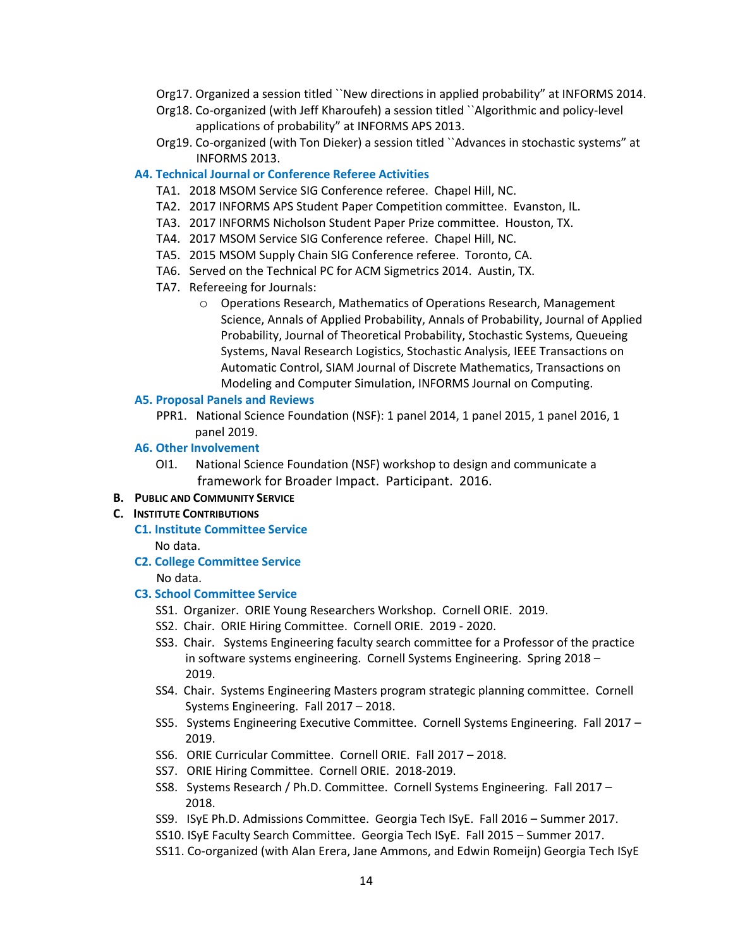- Org17. Organized a session titled ``New directions in applied probability" at INFORMS 2014.
- Org18. Co-organized (with Jeff Kharoufeh) a session titled ``Algorithmic and policy-level applications of probability" at INFORMS APS 2013.
- Org19. Co-organized (with Ton Dieker) a session titled ``Advances in stochastic systems" at INFORMS 2013.

### **A4. Technical Journal or Conference Referee Activities**

- TA1. 2018 MSOM Service SIG Conference referee. Chapel Hill, NC.
- TA2. 2017 INFORMS APS Student Paper Competition committee. Evanston, IL.
- TA3. 2017 INFORMS Nicholson Student Paper Prize committee. Houston, TX.
- TA4. 2017 MSOM Service SIG Conference referee. Chapel Hill, NC.
- TA5. 2015 MSOM Supply Chain SIG Conference referee. Toronto, CA.
- TA6. Served on the Technical PC for ACM Sigmetrics 2014. Austin, TX.
- TA7. Refereeing for Journals:
	- o Operations Research, Mathematics of Operations Research, Management Science, Annals of Applied Probability, Annals of Probability, Journal of Applied Probability, Journal of Theoretical Probability, Stochastic Systems, Queueing Systems, Naval Research Logistics, Stochastic Analysis, IEEE Transactions on Automatic Control, SIAM Journal of Discrete Mathematics, Transactions on Modeling and Computer Simulation, INFORMS Journal on Computing.

#### **A5. Proposal Panels and Reviews**

PPR1. National Science Foundation (NSF): 1 panel 2014, 1 panel 2015, 1 panel 2016, 1 panel 2019.

#### **A6. Other Involvement**

 OI1. National Science Foundation (NSF) workshop to design and communicate a framework for Broader Impact. Participant. 2016.

#### **B. PUBLIC AND COMMUNITY SERVICE**

#### **C. INSTITUTE CONTRIBUTIONS**

- **C1. Institute Committee Service** No data.
- **C2. College Committee Service** No data.

## **C3. School Committee Service**

- SS1. Organizer. ORIE Young Researchers Workshop. Cornell ORIE. 2019.
- SS2. Chair. ORIE Hiring Committee. Cornell ORIE. 2019 2020.
- SS3. Chair. Systems Engineering faculty search committee for a Professor of the practice in software systems engineering. Cornell Systems Engineering. Spring 2018 – 2019.
- SS4. Chair. Systems Engineering Masters program strategic planning committee. Cornell Systems Engineering. Fall 2017 – 2018.
- SS5. Systems Engineering Executive Committee. Cornell Systems Engineering. Fall 2017 2019.
- SS6. ORIE Curricular Committee. Cornell ORIE. Fall 2017 2018.
- SS7. ORIE Hiring Committee. Cornell ORIE. 2018-2019.
- SS8. Systems Research / Ph.D. Committee. Cornell Systems Engineering. Fall 2017 2018.
- SS9. ISyE Ph.D. Admissions Committee. Georgia Tech ISyE. Fall 2016 Summer 2017.
- SS10. ISyE Faculty Search Committee. Georgia Tech ISyE. Fall 2015 Summer 2017.
- SS11. Co-organized (with Alan Erera, Jane Ammons, and Edwin Romeijn) Georgia Tech ISyE